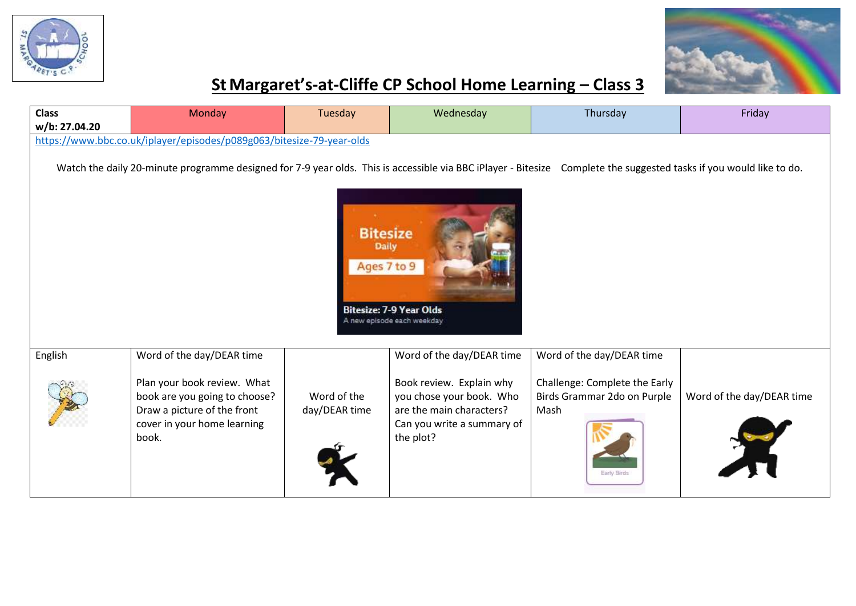



## **StMargaret's-at-Cliffe CP School Home Learning – Class 3**

| <b>Class</b><br>w/b: 27.04.20                                                                                                                                                                                                                                                         | Monday                                                                                                                                                           | Tuesday                      | Wednesday                                                                                                                                                | Thursday                                                                                                         | Friday                    |  |  |  |  |
|---------------------------------------------------------------------------------------------------------------------------------------------------------------------------------------------------------------------------------------------------------------------------------------|------------------------------------------------------------------------------------------------------------------------------------------------------------------|------------------------------|----------------------------------------------------------------------------------------------------------------------------------------------------------|------------------------------------------------------------------------------------------------------------------|---------------------------|--|--|--|--|
| https://www.bbc.co.uk/iplayer/episodes/p089g063/bitesize-79-year-olds                                                                                                                                                                                                                 |                                                                                                                                                                  |                              |                                                                                                                                                          |                                                                                                                  |                           |  |  |  |  |
| Watch the daily 20-minute programme designed for 7-9 year olds. This is accessible via BBC iPlayer - Bitesize Complete the suggested tasks if you would like to do.<br><b>Bitesize</b><br><b>Daily</b><br>Ages 7 to 9<br><b>Bitesize: 7-9 Year Olds</b><br>A new episode each weekday |                                                                                                                                                                  |                              |                                                                                                                                                          |                                                                                                                  |                           |  |  |  |  |
| English                                                                                                                                                                                                                                                                               | Word of the day/DEAR time<br>Plan your book review. What<br>book are you going to choose?<br>Draw a picture of the front<br>cover in your home learning<br>book. | Word of the<br>day/DEAR time | Word of the day/DEAR time<br>Book review. Explain why<br>you chose your book. Who<br>are the main characters?<br>Can you write a summary of<br>the plot? | Word of the day/DEAR time<br>Challenge: Complete the Early<br>Birds Grammar 2do on Purple<br>Mash<br>Early Birds | Word of the day/DEAR time |  |  |  |  |